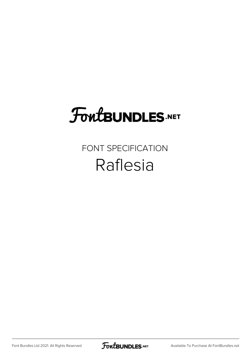# **FoutBUNDLES.NET**

#### FONT SPECIFICATION Raflesia

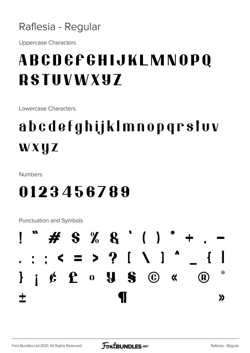#### Raflesia - Regular

**Uppercase Characters** 

### ABCDEFGHIJKLMNOPQ **RSTUVWXY7**

Lowercase Characters

## abcdefghijklmnopqrstvv WXUZ

Numbers

#### 0123456789

**Punctuation and Symbols** 

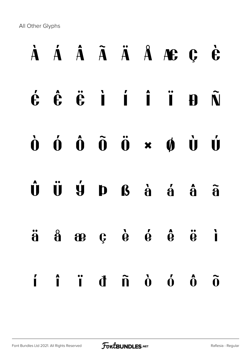All Other Glyphs